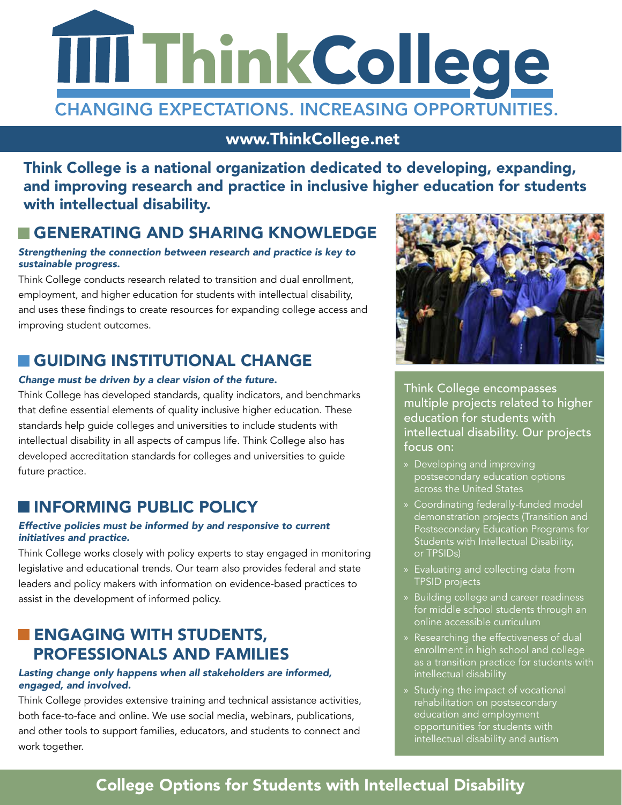

www.ThinkCollege.net

Think College is a national organization dedicated to developing, expanding, and improving research and practice in inclusive higher education for students with intellectual disability.

# GENERATING AND SHARING KNOWLEDGE

#### *Strengthening the connection between research and practice is key to sustainable progress.*

Think College conducts research related to transition and dual enrollment, employment, and higher education for students with intellectual disability, and uses these findings to create resources for expanding college access and improving student outcomes.

# GUIDING INSTITUTIONAL CHANGE

#### *Change must be driven by a clear vision of the future.*

Think College has developed standards, quality indicators, and benchmarks that define essential elements of quality inclusive higher education. These standards help guide colleges and universities to include students with intellectual disability in all aspects of campus life. Think College also has developed accreditation standards for colleges and universities to guide future practice.

### **INFORMING PUBLIC POLICY**

#### *Effective policies must be informed by and responsive to current initiatives and practice.*

Think College works closely with policy experts to stay engaged in monitoring legislative and educational trends. Our team also provides federal and state leaders and policy makers with information on evidence-based practices to assist in the development of informed policy.

# **ENGAGING WITH STUDENTS,** PROFESSIONALS AND FAMILIES

#### *Lasting change only happens when all stakeholders are informed, engaged, and involved.*

Think College provides extensive training and technical assistance activities, both face-to-face and online. We use social media, webinars, publications, and other tools to support families, educators, and students to connect and work together.



Think College encompasses multiple projects related to higher education for students with intellectual disability. Our projects focus on:

- » Developing and improving postsecondary education options across the United States
- » Coordinating federally-funded model demonstration projects (Transition and Postsecondary Education Programs for Students with Intellectual Disability, or TPSIDs)
- » Evaluating and collecting data from TPSID projects
- » Building college and career readiness for middle school students through an online accessible curriculum
- » Researching the effectiveness of dual enrollment in high school and college as a transition practice for students with intellectual disability
- » Studying the impact of vocational rehabilitation on postsecondary education and employment opportunities for students with intellectual disability and autism

# College Options for Students with Intellectual Disability